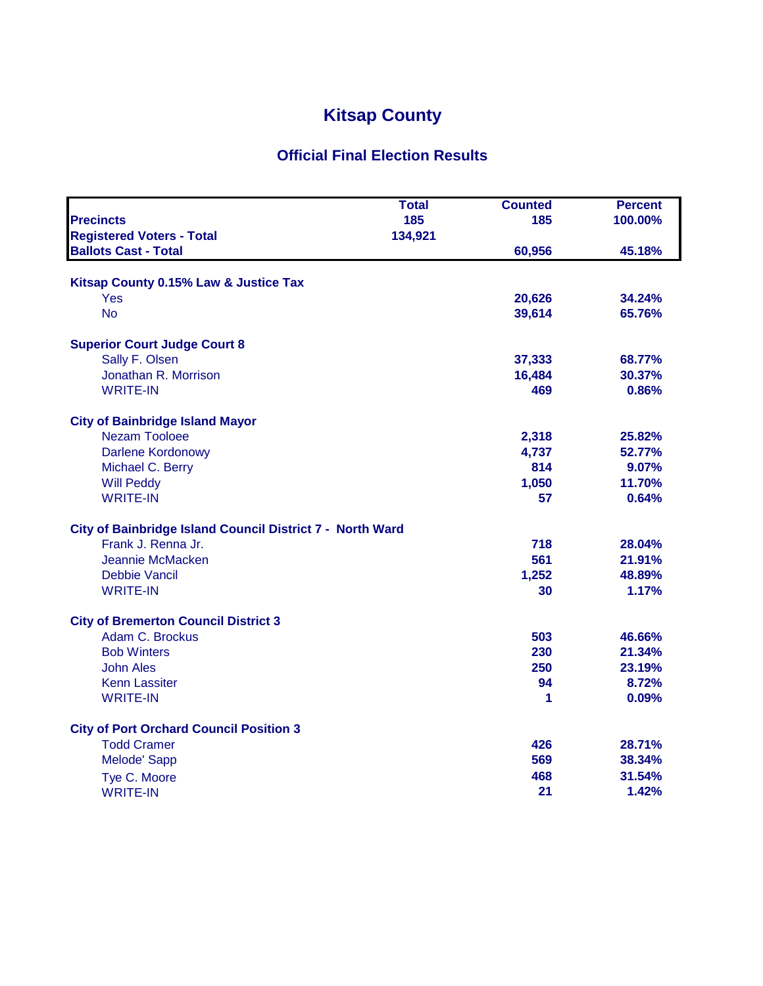## **Kitsap County**

## **Official Final Election Results**

|                                                           | Total   | <b>Counted</b> | <b>Percent</b> |
|-----------------------------------------------------------|---------|----------------|----------------|
| <b>Precincts</b>                                          | 185     | 185            | 100.00%        |
| <b>Registered Voters - Total</b>                          | 134,921 |                |                |
| <b>Ballots Cast - Total</b>                               |         | 60,956         | 45.18%         |
| Kitsap County 0.15% Law & Justice Tax                     |         |                |                |
| Yes                                                       |         | 20,626         | 34.24%         |
| <b>No</b>                                                 |         | 39,614         | 65.76%         |
|                                                           |         |                |                |
| <b>Superior Court Judge Court 8</b>                       |         |                |                |
| Sally F. Olsen                                            |         | 37,333         | 68.77%         |
| Jonathan R. Morrison                                      |         | 16,484         | 30.37%         |
| <b>WRITE-IN</b>                                           |         | 469            | 0.86%          |
| <b>City of Bainbridge Island Mayor</b>                    |         |                |                |
| <b>Nezam Tooloee</b>                                      |         | 2,318          | 25.82%         |
| <b>Darlene Kordonowy</b>                                  |         | 4,737          | 52.77%         |
| Michael C. Berry                                          |         | 814            | 9.07%          |
| <b>Will Peddy</b>                                         |         | 1,050          | 11.70%         |
| <b>WRITE-IN</b>                                           |         | 57             | 0.64%          |
|                                                           |         |                |                |
| City of Bainbridge Island Council District 7 - North Ward |         |                |                |
| Frank J. Renna Jr.                                        |         | 718            | 28.04%         |
| Jeannie McMacken                                          |         | 561            | 21.91%         |
| Debbie Vancil                                             |         | 1,252          | 48.89%         |
| <b>WRITE-IN</b>                                           |         | 30             | 1.17%          |
| <b>City of Bremerton Council District 3</b>               |         |                |                |
| Adam C. Brockus                                           |         | 503            | 46.66%         |
| <b>Bob Winters</b>                                        |         | 230            | 21.34%         |
| <b>John Ales</b>                                          |         | 250            | 23.19%         |
| <b>Kenn Lassiter</b>                                      |         | 94             | 8.72%          |
| <b>WRITE-IN</b>                                           |         | 1              | 0.09%          |
| <b>City of Port Orchard Council Position 3</b>            |         |                |                |
| <b>Todd Cramer</b>                                        |         | 426            | 28.71%         |
| Melode' Sapp                                              |         | 569            | 38.34%         |
| Tye C. Moore                                              |         | 468            | 31.54%         |
| <b>WRITE-IN</b>                                           |         | 21             | 1.42%          |
|                                                           |         |                |                |